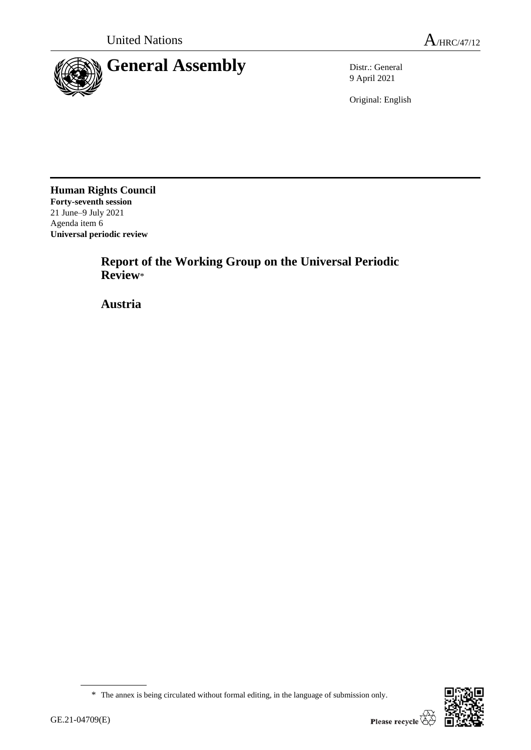

9 April 2021

Original: English

**Human Rights Council Forty-seventh session** 21 June–9 July 2021 Agenda item 6 **Universal periodic review**

> **Report of the Working Group on the Universal Periodic Review**\*

**Austria**



<sup>\*</sup> The annex is being circulated without formal editing, in the language of submission only.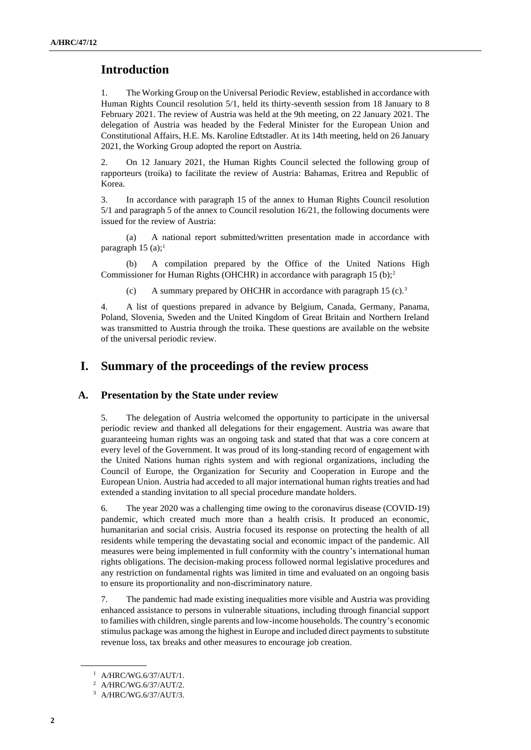# **Introduction**

1. The Working Group on the Universal Periodic Review, established in accordance with Human Rights Council resolution 5/1, held its thirty-seventh session from 18 January to 8 February 2021. The review of Austria was held at the 9th meeting, on 22 January 2021. The delegation of Austria was headed by the Federal Minister for the European Union and Constitutional Affairs, H.E. Ms. Karoline Edtstadler. At its 14th meeting, held on 26 January 2021, the Working Group adopted the report on Austria.

2. On 12 January 2021, the Human Rights Council selected the following group of rapporteurs (troika) to facilitate the review of Austria: Bahamas, Eritrea and Republic of Korea.

3. In accordance with paragraph 15 of the annex to Human Rights Council resolution 5/1 and paragraph 5 of the annex to Council resolution 16/21, the following documents were issued for the review of Austria:

A national report submitted/written presentation made in accordance with paragraph 15 (a);<sup>1</sup>

(b) A compilation prepared by the Office of the United Nations High Commissioner for Human Rights (OHCHR) in accordance with paragraph 15 (b);<sup>2</sup>

(c) A summary prepared by OHCHR in accordance with paragraph 15 (c).<sup>3</sup>

4. A list of questions prepared in advance by Belgium, Canada, Germany, Panama, Poland, Slovenia, Sweden and the United Kingdom of Great Britain and Northern Ireland was transmitted to Austria through the troika. These questions are available on the website of the universal periodic review.

# **I. Summary of the proceedings of the review process**

## **A. Presentation by the State under review**

5. The delegation of Austria welcomed the opportunity to participate in the universal periodic review and thanked all delegations for their engagement. Austria was aware that guaranteeing human rights was an ongoing task and stated that that was a core concern at every level of the Government. It was proud of its long-standing record of engagement with the United Nations human rights system and with regional organizations, including the Council of Europe, the Organization for Security and Cooperation in Europe and the European Union. Austria had acceded to all major international human rights treaties and had extended a standing invitation to all special procedure mandate holders.

6. The year 2020 was a challenging time owing to the coronavirus disease (COVID-19) pandemic, which created much more than a health crisis. It produced an economic, humanitarian and social crisis. Austria focused its response on protecting the health of all residents while tempering the devastating social and economic impact of the pandemic. All measures were being implemented in full conformity with the country's international human rights obligations. The decision-making process followed normal legislative procedures and any restriction on fundamental rights was limited in time and evaluated on an ongoing basis to ensure its proportionality and non-discriminatory nature.

7. The pandemic had made existing inequalities more visible and Austria was providing enhanced assistance to persons in vulnerable situations, including through financial support to families with children, single parents and low-income households. The country's economic stimulus package was among the highest in Europe and included direct payments to substitute revenue loss, tax breaks and other measures to encourage job creation.

<sup>1</sup> A/HRC/WG.6/37/AUT/1.

<sup>2</sup> A/HRC/WG.6/37/AUT/2.

<sup>3</sup> A/HRC/WG.6/37/AUT/3.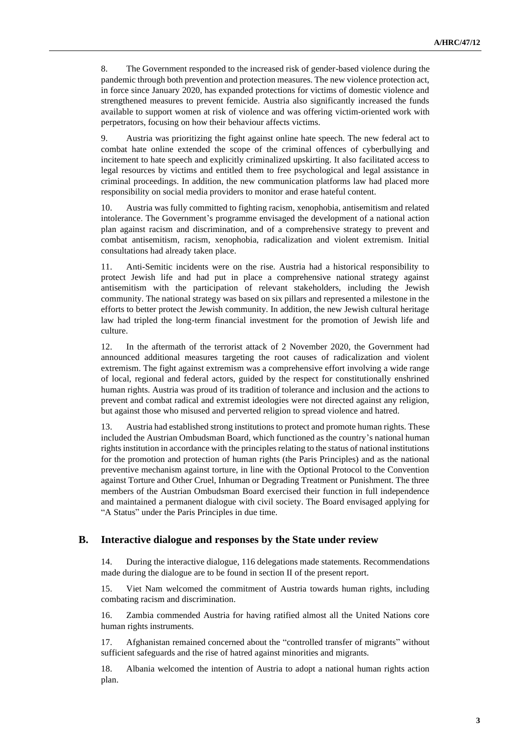8. The Government responded to the increased risk of gender-based violence during the pandemic through both prevention and protection measures. The new violence protection act, in force since January 2020, has expanded protections for victims of domestic violence and strengthened measures to prevent femicide. Austria also significantly increased the funds available to support women at risk of violence and was offering victim-oriented work with perpetrators, focusing on how their behaviour affects victims.

9. Austria was prioritizing the fight against online hate speech. The new federal act to combat hate online extended the scope of the criminal offences of cyberbullying and incitement to hate speech and explicitly criminalized upskirting. It also facilitated access to legal resources by victims and entitled them to free psychological and legal assistance in criminal proceedings. In addition, the new communication platforms law had placed more responsibility on social media providers to monitor and erase hateful content.

10. Austria was fully committed to fighting racism, xenophobia, antisemitism and related intolerance. The Government's programme envisaged the development of a national action plan against racism and discrimination, and of a comprehensive strategy to prevent and combat antisemitism, racism, xenophobia, radicalization and violent extremism. Initial consultations had already taken place.

11. Anti-Semitic incidents were on the rise. Austria had a historical responsibility to protect Jewish life and had put in place a comprehensive national strategy against antisemitism with the participation of relevant stakeholders, including the Jewish community. The national strategy was based on six pillars and represented a milestone in the efforts to better protect the Jewish community. In addition, the new Jewish cultural heritage law had tripled the long-term financial investment for the promotion of Jewish life and culture.

12. In the aftermath of the terrorist attack of 2 November 2020, the Government had announced additional measures targeting the root causes of radicalization and violent extremism. The fight against extremism was a comprehensive effort involving a wide range of local, regional and federal actors, guided by the respect for constitutionally enshrined human rights. Austria was proud of its tradition of tolerance and inclusion and the actions to prevent and combat radical and extremist ideologies were not directed against any religion, but against those who misused and perverted religion to spread violence and hatred.

13. Austria had established strong institutions to protect and promote human rights. These included the Austrian Ombudsman Board, which functioned as the country's national human rights institution in accordance with the principles relating to the status of national institutions for the promotion and protection of human rights (the Paris Principles) and as the national preventive mechanism against torture, in line with the Optional Protocol to the Convention against Torture and Other Cruel, Inhuman or Degrading Treatment or Punishment. The three members of the Austrian Ombudsman Board exercised their function in full independence and maintained a permanent dialogue with civil society. The Board envisaged applying for "A Status" under the Paris Principles in due time.

### **B. Interactive dialogue and responses by the State under review**

14. During the interactive dialogue, 116 delegations made statements. Recommendations made during the dialogue are to be found in section II of the present report.

15. Viet Nam welcomed the commitment of Austria towards human rights, including combating racism and discrimination.

16. Zambia commended Austria for having ratified almost all the United Nations core human rights instruments.

17. Afghanistan remained concerned about the "controlled transfer of migrants" without sufficient safeguards and the rise of hatred against minorities and migrants.

18. Albania welcomed the intention of Austria to adopt a national human rights action plan.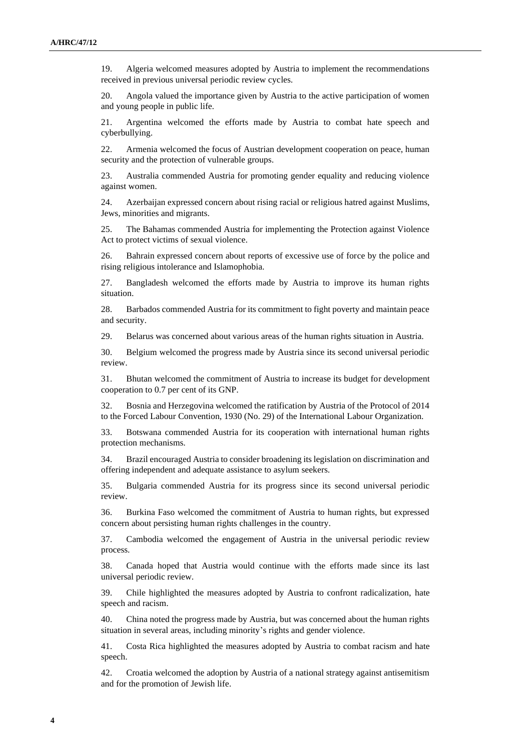19. Algeria welcomed measures adopted by Austria to implement the recommendations received in previous universal periodic review cycles.

20. Angola valued the importance given by Austria to the active participation of women and young people in public life.

21. Argentina welcomed the efforts made by Austria to combat hate speech and cyberbullying.

22. Armenia welcomed the focus of Austrian development cooperation on peace, human security and the protection of vulnerable groups.

23. Australia commended Austria for promoting gender equality and reducing violence against women.

24. Azerbaijan expressed concern about rising racial or religious hatred against Muslims, Jews, minorities and migrants.

25. The Bahamas commended Austria for implementing the Protection against Violence Act to protect victims of sexual violence.

26. Bahrain expressed concern about reports of excessive use of force by the police and rising religious intolerance and Islamophobia.

27. Bangladesh welcomed the efforts made by Austria to improve its human rights situation.

28. Barbados commended Austria for its commitment to fight poverty and maintain peace and security.

29. Belarus was concerned about various areas of the human rights situation in Austria.

30. Belgium welcomed the progress made by Austria since its second universal periodic review.

31. Bhutan welcomed the commitment of Austria to increase its budget for development cooperation to 0.7 per cent of its GNP.

32. Bosnia and Herzegovina welcomed the ratification by Austria of the Protocol of 2014 to the Forced Labour Convention, 1930 (No. 29) of the International Labour Organization.

33. Botswana commended Austria for its cooperation with international human rights protection mechanisms.

34. Brazil encouraged Austria to consider broadening its legislation on discrimination and offering independent and adequate assistance to asylum seekers.

35. Bulgaria commended Austria for its progress since its second universal periodic review.

36. Burkina Faso welcomed the commitment of Austria to human rights, but expressed concern about persisting human rights challenges in the country.

37. Cambodia welcomed the engagement of Austria in the universal periodic review process.

38. Canada hoped that Austria would continue with the efforts made since its last universal periodic review.

39. Chile highlighted the measures adopted by Austria to confront radicalization, hate speech and racism.

40. China noted the progress made by Austria, but was concerned about the human rights situation in several areas, including minority's rights and gender violence.

41. Costa Rica highlighted the measures adopted by Austria to combat racism and hate speech.

42. Croatia welcomed the adoption by Austria of a national strategy against antisemitism and for the promotion of Jewish life.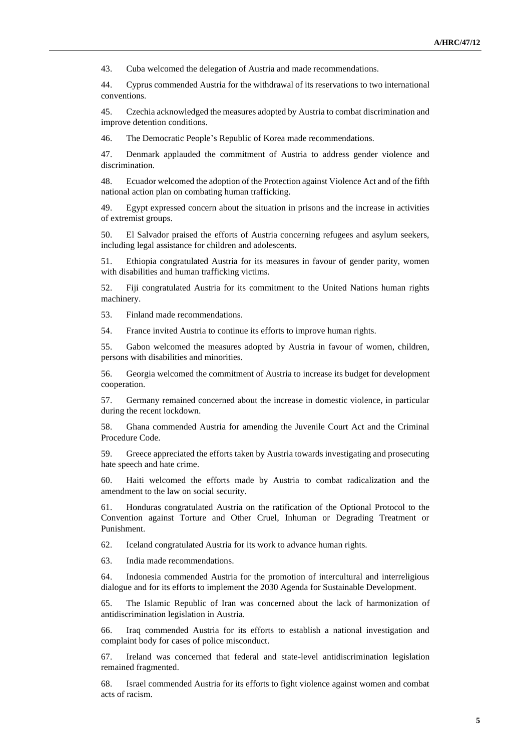43. Cuba welcomed the delegation of Austria and made recommendations.

44. Cyprus commended Austria for the withdrawal of its reservations to two international conventions.

45. Czechia acknowledged the measures adopted by Austria to combat discrimination and improve detention conditions.

46. The Democratic People's Republic of Korea made recommendations.

47. Denmark applauded the commitment of Austria to address gender violence and discrimination.

48. Ecuador welcomed the adoption of the Protection against Violence Act and of the fifth national action plan on combating human trafficking.

49. Egypt expressed concern about the situation in prisons and the increase in activities of extremist groups.

50. El Salvador praised the efforts of Austria concerning refugees and asylum seekers, including legal assistance for children and adolescents.

51. Ethiopia congratulated Austria for its measures in favour of gender parity, women with disabilities and human trafficking victims.

52. Fiji congratulated Austria for its commitment to the United Nations human rights machinery.

53. Finland made recommendations.

54. France invited Austria to continue its efforts to improve human rights.

55. Gabon welcomed the measures adopted by Austria in favour of women, children, persons with disabilities and minorities.

56. Georgia welcomed the commitment of Austria to increase its budget for development cooperation.

57. Germany remained concerned about the increase in domestic violence, in particular during the recent lockdown.

58. Ghana commended Austria for amending the Juvenile Court Act and the Criminal Procedure Code.

59. Greece appreciated the efforts taken by Austria towards investigating and prosecuting hate speech and hate crime.

60. Haiti welcomed the efforts made by Austria to combat radicalization and the amendment to the law on social security.

61. Honduras congratulated Austria on the ratification of the Optional Protocol to the Convention against Torture and Other Cruel, Inhuman or Degrading Treatment or Punishment.

62. Iceland congratulated Austria for its work to advance human rights.

63. India made recommendations.

64. Indonesia commended Austria for the promotion of intercultural and interreligious dialogue and for its efforts to implement the 2030 Agenda for Sustainable Development.

65. The Islamic Republic of Iran was concerned about the lack of harmonization of antidiscrimination legislation in Austria.

66. Iraq commended Austria for its efforts to establish a national investigation and complaint body for cases of police misconduct.

67. Ireland was concerned that federal and state-level antidiscrimination legislation remained fragmented.

68. Israel commended Austria for its efforts to fight violence against women and combat acts of racism.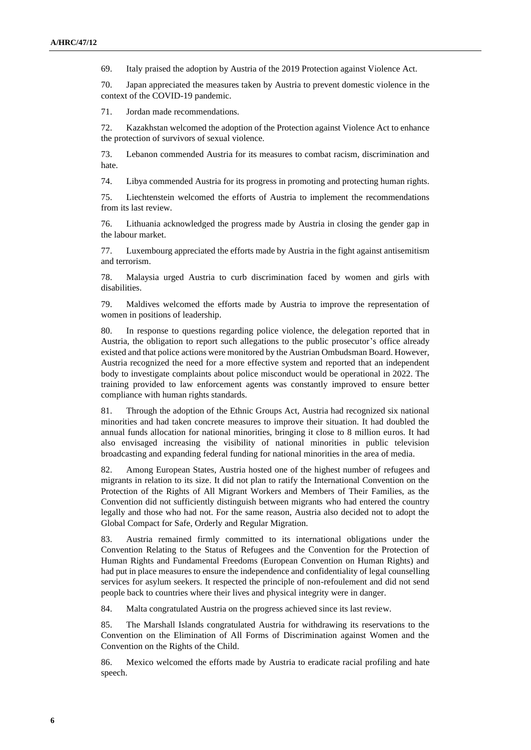69. Italy praised the adoption by Austria of the 2019 Protection against Violence Act.

70. Japan appreciated the measures taken by Austria to prevent domestic violence in the context of the COVID-19 pandemic.

71. Jordan made recommendations.

72. Kazakhstan welcomed the adoption of the Protection against Violence Act to enhance the protection of survivors of sexual violence.

73. Lebanon commended Austria for its measures to combat racism, discrimination and hate.

74. Libya commended Austria for its progress in promoting and protecting human rights.

75. Liechtenstein welcomed the efforts of Austria to implement the recommendations from its last review.

76. Lithuania acknowledged the progress made by Austria in closing the gender gap in the labour market.

77. Luxembourg appreciated the efforts made by Austria in the fight against antisemitism and terrorism.

78. Malaysia urged Austria to curb discrimination faced by women and girls with disabilities.

79. Maldives welcomed the efforts made by Austria to improve the representation of women in positions of leadership.

80. In response to questions regarding police violence, the delegation reported that in Austria, the obligation to report such allegations to the public prosecutor's office already existed and that police actions were monitored by the Austrian Ombudsman Board. However, Austria recognized the need for a more effective system and reported that an independent body to investigate complaints about police misconduct would be operational in 2022. The training provided to law enforcement agents was constantly improved to ensure better compliance with human rights standards.

81. Through the adoption of the Ethnic Groups Act, Austria had recognized six national minorities and had taken concrete measures to improve their situation. It had doubled the annual funds allocation for national minorities, bringing it close to 8 million euros. It had also envisaged increasing the visibility of national minorities in public television broadcasting and expanding federal funding for national minorities in the area of media.

82. Among European States, Austria hosted one of the highest number of refugees and migrants in relation to its size. It did not plan to ratify the International Convention on the Protection of the Rights of All Migrant Workers and Members of Their Families, as the Convention did not sufficiently distinguish between migrants who had entered the country legally and those who had not. For the same reason, Austria also decided not to adopt the Global Compact for Safe, Orderly and Regular Migration.

83. Austria remained firmly committed to its international obligations under the Convention Relating to the Status of Refugees and the Convention for the Protection of Human Rights and Fundamental Freedoms (European Convention on Human Rights) and had put in place measures to ensure the independence and confidentiality of legal counselling services for asylum seekers. It respected the principle of non-refoulement and did not send people back to countries where their lives and physical integrity were in danger.

84. Malta congratulated Austria on the progress achieved since its last review.

85. The Marshall Islands congratulated Austria for withdrawing its reservations to the Convention on the Elimination of All Forms of Discrimination against Women and the Convention on the Rights of the Child.

86. Mexico welcomed the efforts made by Austria to eradicate racial profiling and hate speech.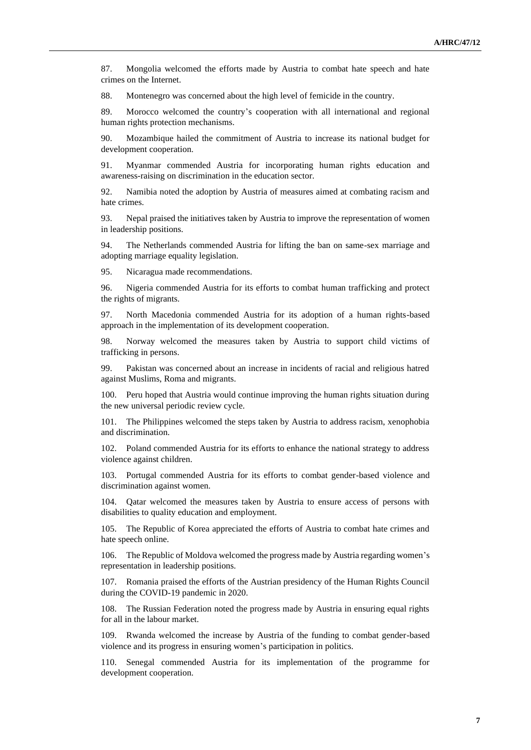87. Mongolia welcomed the efforts made by Austria to combat hate speech and hate crimes on the Internet.

88. Montenegro was concerned about the high level of femicide in the country.

89. Morocco welcomed the country's cooperation with all international and regional human rights protection mechanisms.

90. Mozambique hailed the commitment of Austria to increase its national budget for development cooperation.

91. Myanmar commended Austria for incorporating human rights education and awareness-raising on discrimination in the education sector.

92. Namibia noted the adoption by Austria of measures aimed at combating racism and hate crimes.

93. Nepal praised the initiatives taken by Austria to improve the representation of women in leadership positions.

94. The Netherlands commended Austria for lifting the ban on same-sex marriage and adopting marriage equality legislation.

95. Nicaragua made recommendations.

96. Nigeria commended Austria for its efforts to combat human trafficking and protect the rights of migrants.

97. North Macedonia commended Austria for its adoption of a human rights-based approach in the implementation of its development cooperation.

98. Norway welcomed the measures taken by Austria to support child victims of trafficking in persons.

99. Pakistan was concerned about an increase in incidents of racial and religious hatred against Muslims, Roma and migrants.

100. Peru hoped that Austria would continue improving the human rights situation during the new universal periodic review cycle.

101. The Philippines welcomed the steps taken by Austria to address racism, xenophobia and discrimination.

102. Poland commended Austria for its efforts to enhance the national strategy to address violence against children.

103. Portugal commended Austria for its efforts to combat gender-based violence and discrimination against women.

Qatar welcomed the measures taken by Austria to ensure access of persons with disabilities to quality education and employment.

105. The Republic of Korea appreciated the efforts of Austria to combat hate crimes and hate speech online.

106. The Republic of Moldova welcomed the progress made by Austria regarding women's representation in leadership positions.

107. Romania praised the efforts of the Austrian presidency of the Human Rights Council during the COVID-19 pandemic in 2020.

108. The Russian Federation noted the progress made by Austria in ensuring equal rights for all in the labour market.

109. Rwanda welcomed the increase by Austria of the funding to combat gender-based violence and its progress in ensuring women's participation in politics.

Senegal commended Austria for its implementation of the programme for development cooperation.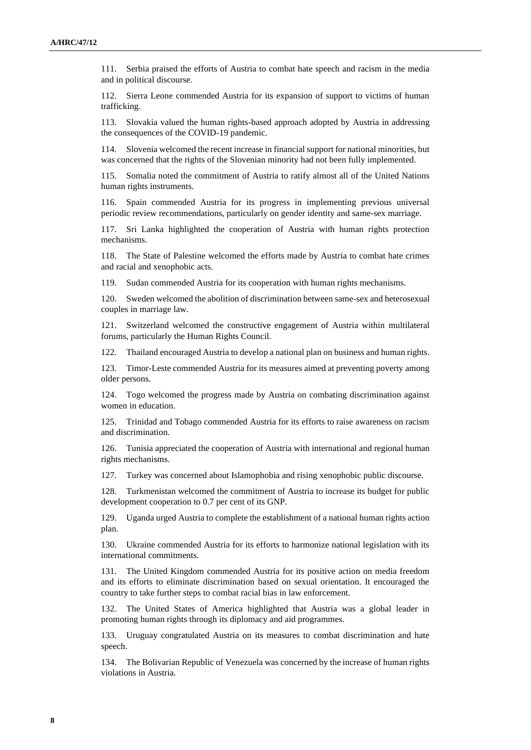111. Serbia praised the efforts of Austria to combat hate speech and racism in the media and in political discourse.

112. Sierra Leone commended Austria for its expansion of support to victims of human trafficking.

113. Slovakia valued the human rights-based approach adopted by Austria in addressing the consequences of the COVID-19 pandemic.

Slovenia welcomed the recent increase in financial support for national minorities, but was concerned that the rights of the Slovenian minority had not been fully implemented.

115. Somalia noted the commitment of Austria to ratify almost all of the United Nations human rights instruments.

116. Spain commended Austria for its progress in implementing previous universal periodic review recommendations, particularly on gender identity and same-sex marriage.

117. Sri Lanka highlighted the cooperation of Austria with human rights protection mechanisms.

118. The State of Palestine welcomed the efforts made by Austria to combat hate crimes and racial and xenophobic acts.

119. Sudan commended Austria for its cooperation with human rights mechanisms.

120. Sweden welcomed the abolition of discrimination between same-sex and heterosexual couples in marriage law.

121. Switzerland welcomed the constructive engagement of Austria within multilateral forums, particularly the Human Rights Council.

122. Thailand encouraged Austria to develop a national plan on business and human rights.

123. Timor-Leste commended Austria for its measures aimed at preventing poverty among older persons.

124. Togo welcomed the progress made by Austria on combating discrimination against women in education.

125. Trinidad and Tobago commended Austria for its efforts to raise awareness on racism and discrimination.

126. Tunisia appreciated the cooperation of Austria with international and regional human rights mechanisms.

127. Turkey was concerned about Islamophobia and rising xenophobic public discourse.

128. Turkmenistan welcomed the commitment of Austria to increase its budget for public development cooperation to 0.7 per cent of its GNP.

129. Uganda urged Austria to complete the establishment of a national human rights action plan.

130. Ukraine commended Austria for its efforts to harmonize national legislation with its international commitments.

131. The United Kingdom commended Austria for its positive action on media freedom and its efforts to eliminate discrimination based on sexual orientation. It encouraged the country to take further steps to combat racial bias in law enforcement.

132. The United States of America highlighted that Austria was a global leader in promoting human rights through its diplomacy and aid programmes.

133. Uruguay congratulated Austria on its measures to combat discrimination and hate speech.

134. The Bolivarian Republic of Venezuela was concerned by the increase of human rights violations in Austria.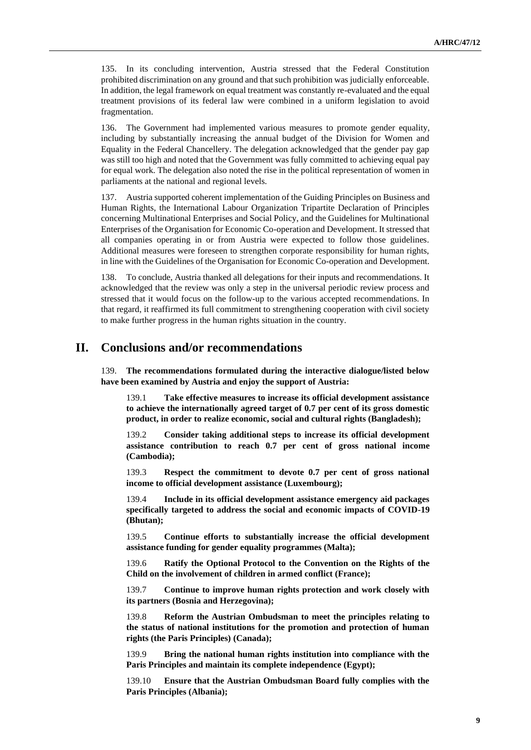135. In its concluding intervention, Austria stressed that the Federal Constitution prohibited discrimination on any ground and that such prohibition was judicially enforceable. In addition, the legal framework on equal treatment was constantly re-evaluated and the equal treatment provisions of its federal law were combined in a uniform legislation to avoid fragmentation.

136. The Government had implemented various measures to promote gender equality, including by substantially increasing the annual budget of the Division for Women and Equality in the Federal Chancellery. The delegation acknowledged that the gender pay gap was still too high and noted that the Government was fully committed to achieving equal pay for equal work. The delegation also noted the rise in the political representation of women in parliaments at the national and regional levels.

Austria supported coherent implementation of the Guiding Principles on Business and Human Rights, the International Labour Organization Tripartite Declaration of Principles concerning Multinational Enterprises and Social Policy, and the Guidelines for Multinational Enterprises of the Organisation for Economic Co-operation and Development. It stressed that all companies operating in or from Austria were expected to follow those guidelines. Additional measures were foreseen to strengthen corporate responsibility for human rights, in line with the Guidelines of the Organisation for Economic Co-operation and Development.

138. To conclude, Austria thanked all delegations for their inputs and recommendations. It acknowledged that the review was only a step in the universal periodic review process and stressed that it would focus on the follow-up to the various accepted recommendations. In that regard, it reaffirmed its full commitment to strengthening cooperation with civil society to make further progress in the human rights situation in the country.

## **II. Conclusions and/or recommendations**

139. **The recommendations formulated during the interactive dialogue/listed below have been examined by Austria and enjoy the support of Austria:**

139.1 **Take effective measures to increase its official development assistance to achieve the internationally agreed target of 0.7 per cent of its gross domestic product, in order to realize economic, social and cultural rights (Bangladesh);**

139.2 **Consider taking additional steps to increase its official development assistance contribution to reach 0.7 per cent of gross national income (Cambodia);**

139.3 **Respect the commitment to devote 0.7 per cent of gross national income to official development assistance (Luxembourg);**

139.4 **Include in its official development assistance emergency aid packages specifically targeted to address the social and economic impacts of COVID-19 (Bhutan);**

139.5 **Continue efforts to substantially increase the official development assistance funding for gender equality programmes (Malta);**

139.6 **Ratify the Optional Protocol to the Convention on the Rights of the Child on the involvement of children in armed conflict (France);**

139.7 **Continue to improve human rights protection and work closely with its partners (Bosnia and Herzegovina);**

139.8 **Reform the Austrian Ombudsman to meet the principles relating to the status of national institutions for the promotion and protection of human rights (the Paris Principles) (Canada);**

139.9 **Bring the national human rights institution into compliance with the Paris Principles and maintain its complete independence (Egypt);**

139.10 **Ensure that the Austrian Ombudsman Board fully complies with the Paris Principles (Albania);**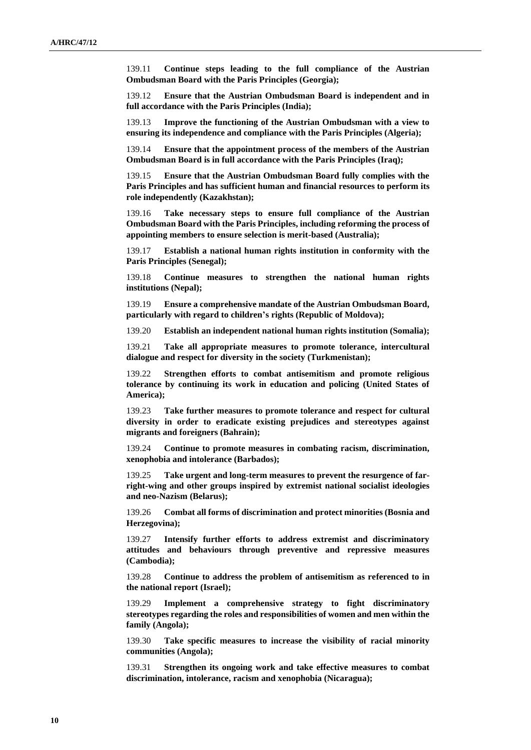139.11 **Continue steps leading to the full compliance of the Austrian Ombudsman Board with the Paris Principles (Georgia);**

139.12 **Ensure that the Austrian Ombudsman Board is independent and in full accordance with the Paris Principles (India);**

139.13 **Improve the functioning of the Austrian Ombudsman with a view to ensuring its independence and compliance with the Paris Principles (Algeria);**

139.14 **Ensure that the appointment process of the members of the Austrian Ombudsman Board is in full accordance with the Paris Principles (Iraq);**

139.15 **Ensure that the Austrian Ombudsman Board fully complies with the Paris Principles and has sufficient human and financial resources to perform its role independently (Kazakhstan);**

139.16 **Take necessary steps to ensure full compliance of the Austrian Ombudsman Board with the Paris Principles, including reforming the process of appointing members to ensure selection is merit-based (Australia);**

139.17 **Establish a national human rights institution in conformity with the Paris Principles (Senegal);**

139.18 **Continue measures to strengthen the national human rights institutions (Nepal);**

139.19 **Ensure a comprehensive mandate of the Austrian Ombudsman Board, particularly with regard to children's rights (Republic of Moldova);**

139.20 **Establish an independent national human rights institution (Somalia);**

139.21 **Take all appropriate measures to promote tolerance, intercultural dialogue and respect for diversity in the society (Turkmenistan);**

139.22 **Strengthen efforts to combat antisemitism and promote religious tolerance by continuing its work in education and policing (United States of America);**

139.23 **Take further measures to promote tolerance and respect for cultural diversity in order to eradicate existing prejudices and stereotypes against migrants and foreigners (Bahrain);**

139.24 **Continue to promote measures in combating racism, discrimination, xenophobia and intolerance (Barbados);**

139.25 **Take urgent and long-term measures to prevent the resurgence of farright-wing and other groups inspired by extremist national socialist ideologies and neo-Nazism (Belarus);**

139.26 **Combat all forms of discrimination and protect minorities (Bosnia and Herzegovina);**

139.27 **Intensify further efforts to address extremist and discriminatory attitudes and behaviours through preventive and repressive measures (Cambodia);**

139.28 **Continue to address the problem of antisemitism as referenced to in the national report (Israel);**

139.29 **Implement a comprehensive strategy to fight discriminatory stereotypes regarding the roles and responsibilities of women and men within the family (Angola);**

139.30 **Take specific measures to increase the visibility of racial minority communities (Angola);**

139.31 **Strengthen its ongoing work and take effective measures to combat discrimination, intolerance, racism and xenophobia (Nicaragua);**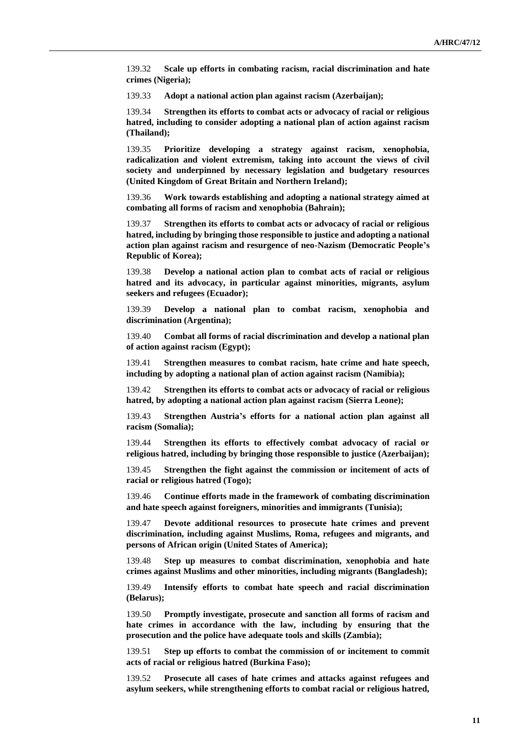139.32 **Scale up efforts in combating racism, racial discrimination and hate crimes (Nigeria);**

139.33 **Adopt a national action plan against racism (Azerbaijan);**

139.34 **Strengthen its efforts to combat acts or advocacy of racial or religious hatred, including to consider adopting a national plan of action against racism (Thailand);**

139.35 **Prioritize developing a strategy against racism, xenophobia, radicalization and violent extremism, taking into account the views of civil society and underpinned by necessary legislation and budgetary resources (United Kingdom of Great Britain and Northern Ireland);**

139.36 **Work towards establishing and adopting a national strategy aimed at combating all forms of racism and xenophobia (Bahrain);**

139.37 **Strengthen its efforts to combat acts or advocacy of racial or religious hatred, including by bringing those responsible to justice and adopting a national action plan against racism and resurgence of neo-Nazism (Democratic People's Republic of Korea);**

139.38 **Develop a national action plan to combat acts of racial or religious hatred and its advocacy, in particular against minorities, migrants, asylum seekers and refugees (Ecuador);**

139.39 **Develop a national plan to combat racism, xenophobia and discrimination (Argentina);**

139.40 **Combat all forms of racial discrimination and develop a national plan of action against racism (Egypt);**

139.41 **Strengthen measures to combat racism, hate crime and hate speech, including by adopting a national plan of action against racism (Namibia);**

139.42 **Strengthen its efforts to combat acts or advocacy of racial or religious hatred, by adopting a national action plan against racism (Sierra Leone);**

139.43 **Strengthen Austria's efforts for a national action plan against all racism (Somalia);**

139.44 **Strengthen its efforts to effectively combat advocacy of racial or religious hatred, including by bringing those responsible to justice (Azerbaijan);**

139.45 **Strengthen the fight against the commission or incitement of acts of racial or religious hatred (Togo);**

139.46 **Continue efforts made in the framework of combating discrimination and hate speech against foreigners, minorities and immigrants (Tunisia);**

139.47 **Devote additional resources to prosecute hate crimes and prevent discrimination, including against Muslims, Roma, refugees and migrants, and persons of African origin (United States of America);**

139.48 **Step up measures to combat discrimination, xenophobia and hate crimes against Muslims and other minorities, including migrants (Bangladesh);**

139.49 **Intensify efforts to combat hate speech and racial discrimination (Belarus);**

139.50 **Promptly investigate, prosecute and sanction all forms of racism and hate crimes in accordance with the law, including by ensuring that the prosecution and the police have adequate tools and skills (Zambia);**

139.51 **Step up efforts to combat the commission of or incitement to commit acts of racial or religious hatred (Burkina Faso);**

139.52 **Prosecute all cases of hate crimes and attacks against refugees and asylum seekers, while strengthening efforts to combat racial or religious hatred,**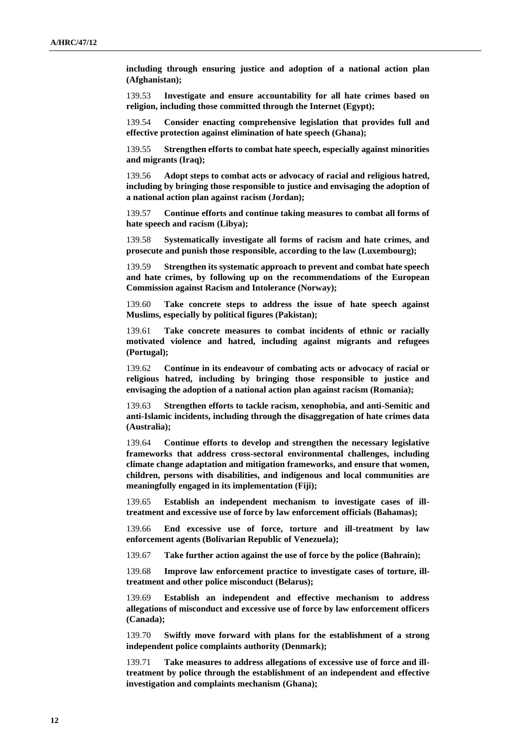**including through ensuring justice and adoption of a national action plan (Afghanistan);**

139.53 **Investigate and ensure accountability for all hate crimes based on religion, including those committed through the Internet (Egypt);**

139.54 **Consider enacting comprehensive legislation that provides full and effective protection against elimination of hate speech (Ghana);**

139.55 **Strengthen efforts to combat hate speech, especially against minorities and migrants (Iraq);**

139.56 **Adopt steps to combat acts or advocacy of racial and religious hatred, including by bringing those responsible to justice and envisaging the adoption of a national action plan against racism (Jordan);**

139.57 **Continue efforts and continue taking measures to combat all forms of hate speech and racism (Libya);**

139.58 **Systematically investigate all forms of racism and hate crimes, and prosecute and punish those responsible, according to the law (Luxembourg);**

139.59 **Strengthen its systematic approach to prevent and combat hate speech and hate crimes, by following up on the recommendations of the European Commission against Racism and Intolerance (Norway);**

139.60 **Take concrete steps to address the issue of hate speech against Muslims, especially by political figures (Pakistan);**

139.61 **Take concrete measures to combat incidents of ethnic or racially motivated violence and hatred, including against migrants and refugees (Portugal);**

139.62 **Continue in its endeavour of combating acts or advocacy of racial or religious hatred, including by bringing those responsible to justice and envisaging the adoption of a national action plan against racism (Romania);**

139.63 **Strengthen efforts to tackle racism, xenophobia, and anti-Semitic and anti-Islamic incidents, including through the disaggregation of hate crimes data (Australia);**

139.64 **Continue efforts to develop and strengthen the necessary legislative frameworks that address cross-sectoral environmental challenges, including climate change adaptation and mitigation frameworks, and ensure that women, children, persons with disabilities, and indigenous and local communities are meaningfully engaged in its implementation (Fiji);**

139.65 **Establish an independent mechanism to investigate cases of illtreatment and excessive use of force by law enforcement officials (Bahamas);**

139.66 **End excessive use of force, torture and ill-treatment by law enforcement agents (Bolivarian Republic of Venezuela);**

139.67 **Take further action against the use of force by the police (Bahrain);**

139.68 **Improve law enforcement practice to investigate cases of torture, illtreatment and other police misconduct (Belarus);**

139.69 **Establish an independent and effective mechanism to address allegations of misconduct and excessive use of force by law enforcement officers (Canada);**

139.70 **Swiftly move forward with plans for the establishment of a strong independent police complaints authority (Denmark);**

139.71 **Take measures to address allegations of excessive use of force and illtreatment by police through the establishment of an independent and effective investigation and complaints mechanism (Ghana);**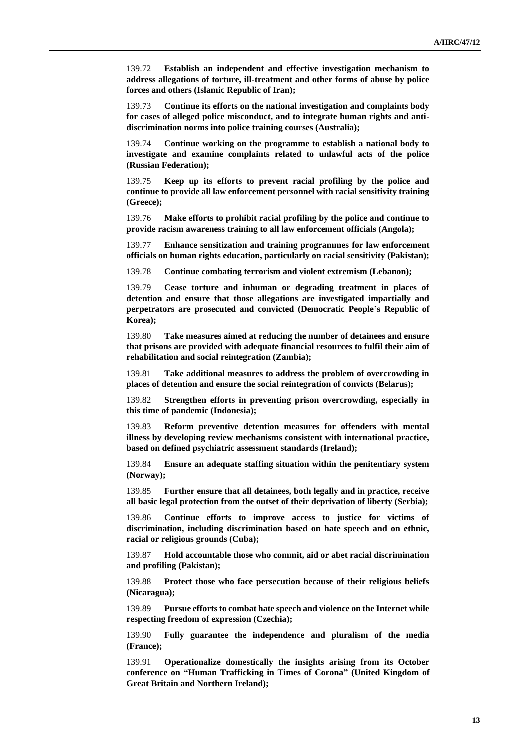139.72 **Establish an independent and effective investigation mechanism to address allegations of torture, ill-treatment and other forms of abuse by police forces and others (Islamic Republic of Iran);**

139.73 **Continue its efforts on the national investigation and complaints body for cases of alleged police misconduct, and to integrate human rights and antidiscrimination norms into police training courses (Australia);**

139.74 **Continue working on the programme to establish a national body to investigate and examine complaints related to unlawful acts of the police (Russian Federation);**

139.75 **Keep up its efforts to prevent racial profiling by the police and continue to provide all law enforcement personnel with racial sensitivity training (Greece);**

139.76 **Make efforts to prohibit racial profiling by the police and continue to provide racism awareness training to all law enforcement officials (Angola);**

139.77 **Enhance sensitization and training programmes for law enforcement officials on human rights education, particularly on racial sensitivity (Pakistan);**

139.78 **Continue combating terrorism and violent extremism (Lebanon);**

139.79 **Cease torture and inhuman or degrading treatment in places of detention and ensure that those allegations are investigated impartially and perpetrators are prosecuted and convicted (Democratic People's Republic of Korea);**

139.80 **Take measures aimed at reducing the number of detainees and ensure that prisons are provided with adequate financial resources to fulfil their aim of rehabilitation and social reintegration (Zambia);**

139.81 **Take additional measures to address the problem of overcrowding in places of detention and ensure the social reintegration of convicts (Belarus);**

139.82 **Strengthen efforts in preventing prison overcrowding, especially in this time of pandemic (Indonesia);**

139.83 **Reform preventive detention measures for offenders with mental illness by developing review mechanisms consistent with international practice, based on defined psychiatric assessment standards (Ireland);**

139.84 **Ensure an adequate staffing situation within the penitentiary system (Norway);**

139.85 **Further ensure that all detainees, both legally and in practice, receive all basic legal protection from the outset of their deprivation of liberty (Serbia);**

139.86 **Continue efforts to improve access to justice for victims of discrimination, including discrimination based on hate speech and on ethnic, racial or religious grounds (Cuba);**

139.87 **Hold accountable those who commit, aid or abet racial discrimination and profiling (Pakistan);**

139.88 **Protect those who face persecution because of their religious beliefs (Nicaragua);**

139.89 **Pursue efforts to combat hate speech and violence on the Internet while respecting freedom of expression (Czechia);**

139.90 **Fully guarantee the independence and pluralism of the media (France);**

139.91 **Operationalize domestically the insights arising from its October conference on "Human Trafficking in Times of Corona" (United Kingdom of Great Britain and Northern Ireland);**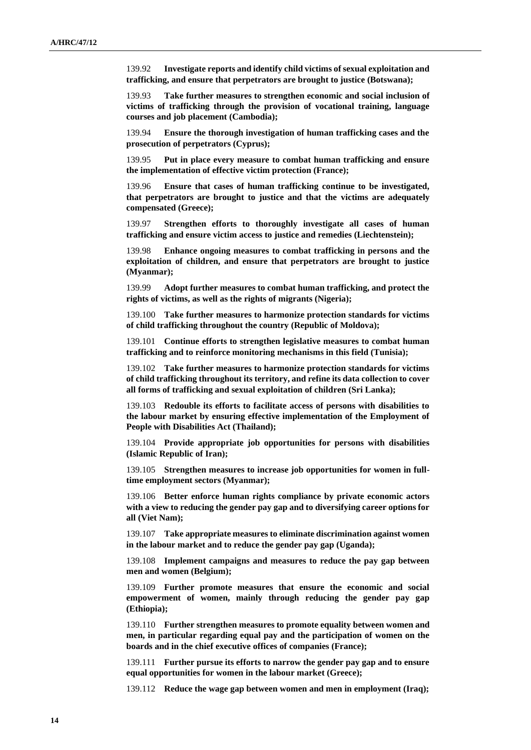139.92 **Investigate reports and identify child victims of sexual exploitation and trafficking, and ensure that perpetrators are brought to justice (Botswana);**

139.93 **Take further measures to strengthen economic and social inclusion of victims of trafficking through the provision of vocational training, language courses and job placement (Cambodia);**

139.94 **Ensure the thorough investigation of human trafficking cases and the prosecution of perpetrators (Cyprus);**

139.95 **Put in place every measure to combat human trafficking and ensure the implementation of effective victim protection (France);**

139.96 **Ensure that cases of human trafficking continue to be investigated, that perpetrators are brought to justice and that the victims are adequately compensated (Greece);**

139.97 **Strengthen efforts to thoroughly investigate all cases of human trafficking and ensure victim access to justice and remedies (Liechtenstein);**

139.98 **Enhance ongoing measures to combat trafficking in persons and the exploitation of children, and ensure that perpetrators are brought to justice (Myanmar);**

139.99 **Adopt further measures to combat human trafficking, and protect the rights of victims, as well as the rights of migrants (Nigeria);**

139.100 **Take further measures to harmonize protection standards for victims of child trafficking throughout the country (Republic of Moldova);**

139.101 **Continue efforts to strengthen legislative measures to combat human trafficking and to reinforce monitoring mechanisms in this field (Tunisia);**

139.102 **Take further measures to harmonize protection standards for victims of child trafficking throughout its territory, and refine its data collection to cover all forms of trafficking and sexual exploitation of children (Sri Lanka);**

139.103 **Redouble its efforts to facilitate access of persons with disabilities to the labour market by ensuring effective implementation of the Employment of People with Disabilities Act (Thailand);**

139.104 **Provide appropriate job opportunities for persons with disabilities (Islamic Republic of Iran);**

139.105 **Strengthen measures to increase job opportunities for women in fulltime employment sectors (Myanmar);**

139.106 **Better enforce human rights compliance by private economic actors with a view to reducing the gender pay gap and to diversifying career options for all (Viet Nam);**

139.107 **Take appropriate measures to eliminate discrimination against women in the labour market and to reduce the gender pay gap (Uganda);**

139.108 **Implement campaigns and measures to reduce the pay gap between men and women (Belgium);**

139.109 **Further promote measures that ensure the economic and social empowerment of women, mainly through reducing the gender pay gap (Ethiopia);**

139.110 **Further strengthen measures to promote equality between women and men, in particular regarding equal pay and the participation of women on the boards and in the chief executive offices of companies (France);**

139.111 **Further pursue its efforts to narrow the gender pay gap and to ensure equal opportunities for women in the labour market (Greece);**

139.112 **Reduce the wage gap between women and men in employment (Iraq);**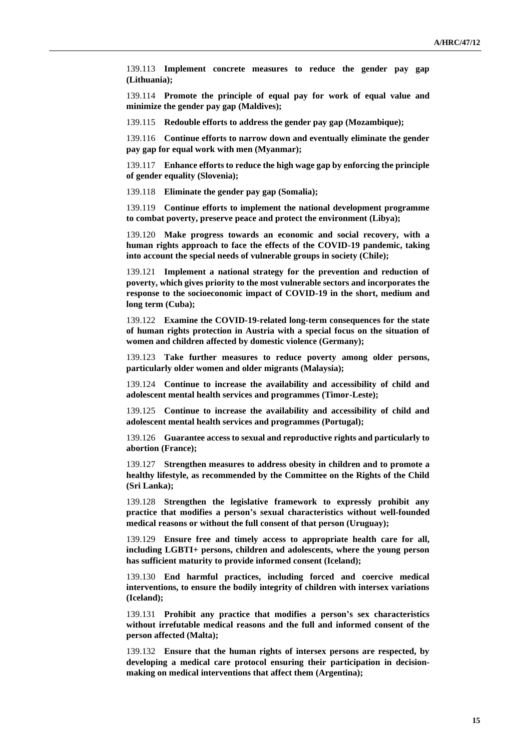139.113 **Implement concrete measures to reduce the gender pay gap (Lithuania);**

139.114 **Promote the principle of equal pay for work of equal value and minimize the gender pay gap (Maldives);**

139.115 **Redouble efforts to address the gender pay gap (Mozambique);**

139.116 **Continue efforts to narrow down and eventually eliminate the gender pay gap for equal work with men (Myanmar);**

139.117 **Enhance efforts to reduce the high wage gap by enforcing the principle of gender equality (Slovenia);**

139.118 **Eliminate the gender pay gap (Somalia);**

139.119 **Continue efforts to implement the national development programme to combat poverty, preserve peace and protect the environment (Libya);**

139.120 **Make progress towards an economic and social recovery, with a human rights approach to face the effects of the COVID-19 pandemic, taking into account the special needs of vulnerable groups in society (Chile);**

139.121 **Implement a national strategy for the prevention and reduction of poverty, which gives priority to the most vulnerable sectors and incorporates the response to the socioeconomic impact of COVID-19 in the short, medium and long term (Cuba);**

139.122 **Examine the COVID-19-related long-term consequences for the state of human rights protection in Austria with a special focus on the situation of women and children affected by domestic violence (Germany);**

139.123 **Take further measures to reduce poverty among older persons, particularly older women and older migrants (Malaysia);**

139.124 **Continue to increase the availability and accessibility of child and adolescent mental health services and programmes (Timor-Leste);**

139.125 **Continue to increase the availability and accessibility of child and adolescent mental health services and programmes (Portugal);**

139.126 **Guarantee access to sexual and reproductive rights and particularly to abortion (France);**

139.127 **Strengthen measures to address obesity in children and to promote a healthy lifestyle, as recommended by the Committee on the Rights of the Child (Sri Lanka);**

139.128 **Strengthen the legislative framework to expressly prohibit any practice that modifies a person's sexual characteristics without well-founded medical reasons or without the full consent of that person (Uruguay);**

139.129 **Ensure free and timely access to appropriate health care for all, including LGBTI+ persons, children and adolescents, where the young person has sufficient maturity to provide informed consent (Iceland);**

139.130 **End harmful practices, including forced and coercive medical interventions, to ensure the bodily integrity of children with intersex variations (Iceland);**

139.131 **Prohibit any practice that modifies a person's sex characteristics without irrefutable medical reasons and the full and informed consent of the person affected (Malta);**

139.132 **Ensure that the human rights of intersex persons are respected, by developing a medical care protocol ensuring their participation in decisionmaking on medical interventions that affect them (Argentina);**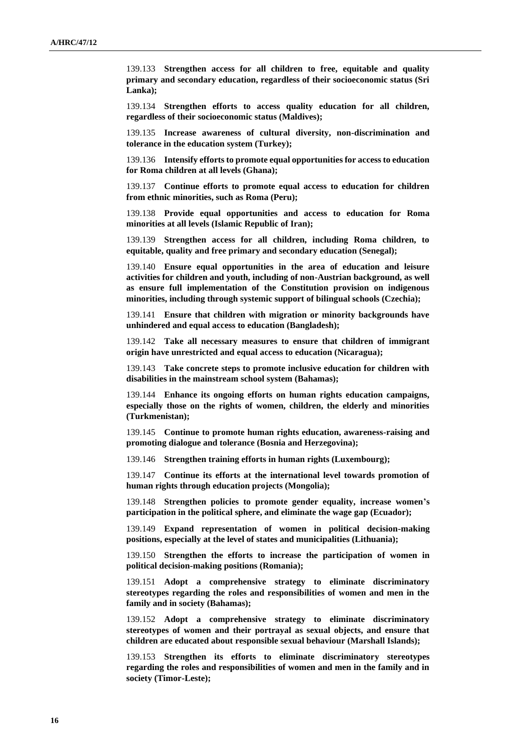139.133 **Strengthen access for all children to free, equitable and quality primary and secondary education, regardless of their socioeconomic status (Sri Lanka);**

139.134 **Strengthen efforts to access quality education for all children, regardless of their socioeconomic status (Maldives);**

139.135 **Increase awareness of cultural diversity, non-discrimination and tolerance in the education system (Turkey);**

139.136 **Intensify efforts to promote equal opportunities for access to education for Roma children at all levels (Ghana);**

139.137 **Continue efforts to promote equal access to education for children from ethnic minorities, such as Roma (Peru);**

139.138 **Provide equal opportunities and access to education for Roma minorities at all levels (Islamic Republic of Iran);**

139.139 **Strengthen access for all children, including Roma children, to equitable, quality and free primary and secondary education (Senegal);**

139.140 **Ensure equal opportunities in the area of education and leisure activities for children and youth, including of non-Austrian background, as well as ensure full implementation of the Constitution provision on indigenous minorities, including through systemic support of bilingual schools (Czechia);**

139.141 **Ensure that children with migration or minority backgrounds have unhindered and equal access to education (Bangladesh);**

139.142 **Take all necessary measures to ensure that children of immigrant origin have unrestricted and equal access to education (Nicaragua);**

139.143 **Take concrete steps to promote inclusive education for children with disabilities in the mainstream school system (Bahamas);**

139.144 **Enhance its ongoing efforts on human rights education campaigns, especially those on the rights of women, children, the elderly and minorities (Turkmenistan);**

139.145 **Continue to promote human rights education, awareness-raising and promoting dialogue and tolerance (Bosnia and Herzegovina);**

139.146 **Strengthen training efforts in human rights (Luxembourg);**

139.147 **Continue its efforts at the international level towards promotion of human rights through education projects (Mongolia);**

139.148 **Strengthen policies to promote gender equality, increase women's participation in the political sphere, and eliminate the wage gap (Ecuador);**

139.149 **Expand representation of women in political decision-making positions, especially at the level of states and municipalities (Lithuania);**

139.150 **Strengthen the efforts to increase the participation of women in political decision-making positions (Romania);**

139.151 **Adopt a comprehensive strategy to eliminate discriminatory stereotypes regarding the roles and responsibilities of women and men in the family and in society (Bahamas);**

139.152 **Adopt a comprehensive strategy to eliminate discriminatory stereotypes of women and their portrayal as sexual objects, and ensure that children are educated about responsible sexual behaviour (Marshall Islands);**

139.153 **Strengthen its efforts to eliminate discriminatory stereotypes regarding the roles and responsibilities of women and men in the family and in society (Timor-Leste);**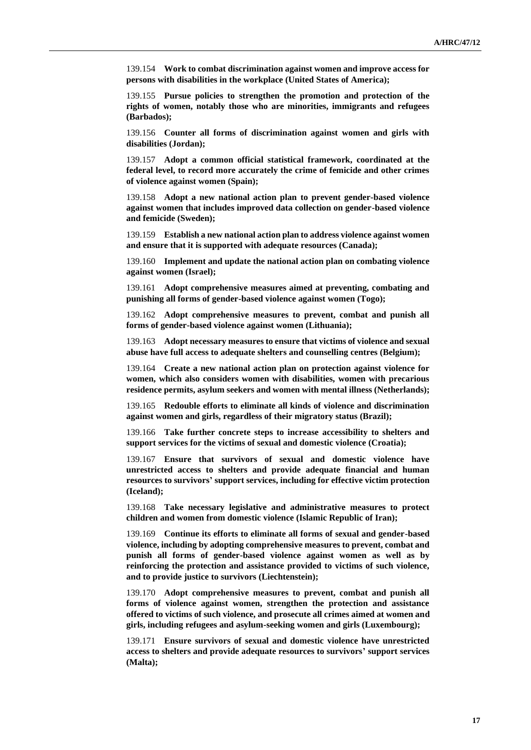139.154 **Work to combat discrimination against women and improve access for persons with disabilities in the workplace (United States of America);**

139.155 **Pursue policies to strengthen the promotion and protection of the rights of women, notably those who are minorities, immigrants and refugees (Barbados);**

139.156 **Counter all forms of discrimination against women and girls with disabilities (Jordan);**

139.157 **Adopt a common official statistical framework, coordinated at the federal level, to record more accurately the crime of femicide and other crimes of violence against women (Spain);**

139.158 **Adopt a new national action plan to prevent gender-based violence against women that includes improved data collection on gender-based violence and femicide (Sweden);**

139.159 **Establish a new national action plan to address violence against women and ensure that it is supported with adequate resources (Canada);**

139.160 **Implement and update the national action plan on combating violence against women (Israel);**

139.161 **Adopt comprehensive measures aimed at preventing, combating and punishing all forms of gender-based violence against women (Togo);**

139.162 **Adopt comprehensive measures to prevent, combat and punish all forms of gender-based violence against women (Lithuania);**

139.163 **Adopt necessary measures to ensure that victims of violence and sexual abuse have full access to adequate shelters and counselling centres (Belgium);**

139.164 **Create a new national action plan on protection against violence for women, which also considers women with disabilities, women with precarious residence permits, asylum seekers and women with mental illness (Netherlands);**

139.165 **Redouble efforts to eliminate all kinds of violence and discrimination against women and girls, regardless of their migratory status (Brazil);**

139.166 **Take further concrete steps to increase accessibility to shelters and support services for the victims of sexual and domestic violence (Croatia);**

139.167 **Ensure that survivors of sexual and domestic violence have unrestricted access to shelters and provide adequate financial and human resources to survivors' support services, including for effective victim protection (Iceland);**

139.168 **Take necessary legislative and administrative measures to protect children and women from domestic violence (Islamic Republic of Iran);**

139.169 **Continue its efforts to eliminate all forms of sexual and gender-based violence, including by adopting comprehensive measures to prevent, combat and punish all forms of gender-based violence against women as well as by reinforcing the protection and assistance provided to victims of such violence, and to provide justice to survivors (Liechtenstein);**

139.170 **Adopt comprehensive measures to prevent, combat and punish all forms of violence against women, strengthen the protection and assistance offered to victims of such violence, and prosecute all crimes aimed at women and girls, including refugees and asylum-seeking women and girls (Luxembourg);**

139.171 **Ensure survivors of sexual and domestic violence have unrestricted access to shelters and provide adequate resources to survivors' support services (Malta);**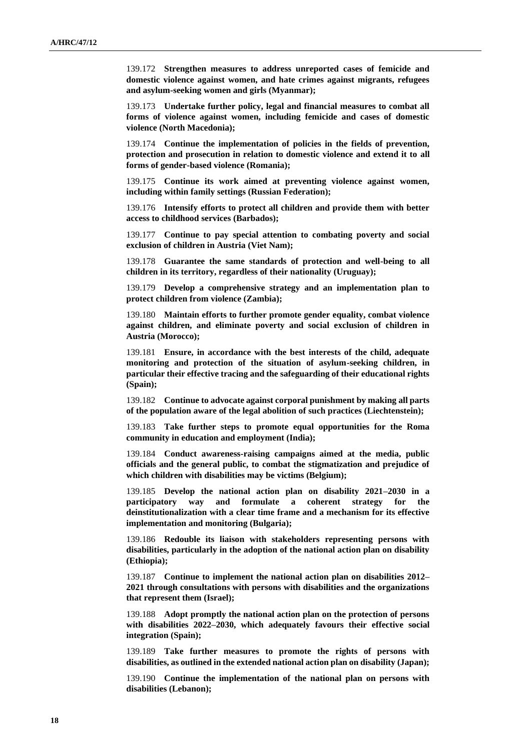139.172 **Strengthen measures to address unreported cases of femicide and domestic violence against women, and hate crimes against migrants, refugees and asylum-seeking women and girls (Myanmar);**

139.173 **Undertake further policy, legal and financial measures to combat all forms of violence against women, including femicide and cases of domestic violence (North Macedonia);**

139.174 **Continue the implementation of policies in the fields of prevention, protection and prosecution in relation to domestic violence and extend it to all forms of gender-based violence (Romania);**

139.175 **Continue its work aimed at preventing violence against women, including within family settings (Russian Federation);**

139.176 **Intensify efforts to protect all children and provide them with better access to childhood services (Barbados);**

139.177 **Continue to pay special attention to combating poverty and social exclusion of children in Austria (Viet Nam);**

139.178 **Guarantee the same standards of protection and well-being to all children in its territory, regardless of their nationality (Uruguay);**

139.179 **Develop a comprehensive strategy and an implementation plan to protect children from violence (Zambia);**

139.180 **Maintain efforts to further promote gender equality, combat violence against children, and eliminate poverty and social exclusion of children in Austria (Morocco);**

139.181 **Ensure, in accordance with the best interests of the child, adequate monitoring and protection of the situation of asylum-seeking children, in particular their effective tracing and the safeguarding of their educational rights (Spain);**

139.182 **Continue to advocate against corporal punishment by making all parts of the population aware of the legal abolition of such practices (Liechtenstein);**

139.183 **Take further steps to promote equal opportunities for the Roma community in education and employment (India);**

139.184 **Conduct awareness-raising campaigns aimed at the media, public officials and the general public, to combat the stigmatization and prejudice of which children with disabilities may be victims (Belgium);**

139.185 **Develop the national action plan on disability 2021–2030 in a participatory way and formulate a coherent strategy for the deinstitutionalization with a clear time frame and a mechanism for its effective implementation and monitoring (Bulgaria);**

139.186 **Redouble its liaison with stakeholders representing persons with disabilities, particularly in the adoption of the national action plan on disability (Ethiopia);**

139.187 **Continue to implement the national action plan on disabilities 2012– 2021 through consultations with persons with disabilities and the organizations that represent them (Israel);**

139.188 **Adopt promptly the national action plan on the protection of persons with disabilities 2022–2030, which adequately favours their effective social integration (Spain);**

139.189 **Take further measures to promote the rights of persons with disabilities, as outlined in the extended national action plan on disability (Japan);**

139.190 **Continue the implementation of the national plan on persons with disabilities (Lebanon);**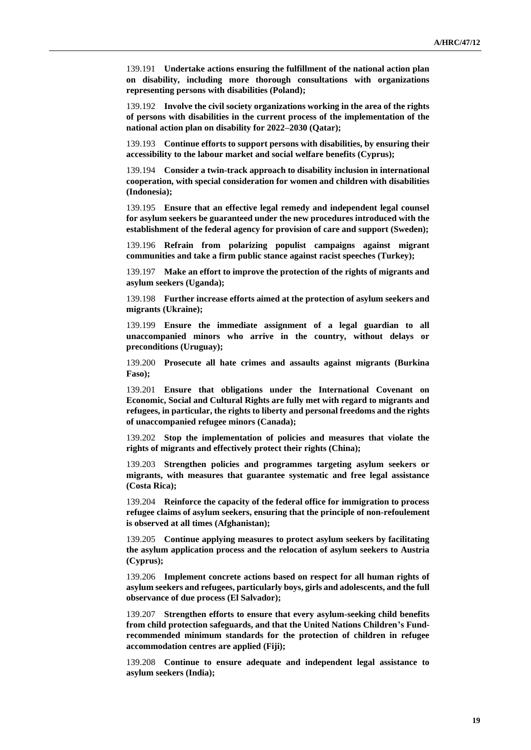139.191 **Undertake actions ensuring the fulfillment of the national action plan on disability, including more thorough consultations with organizations representing persons with disabilities (Poland);**

139.192 **Involve the civil society organizations working in the area of the rights of persons with disabilities in the current process of the implementation of the national action plan on disability for 2022–2030 (Qatar);**

139.193 **Continue efforts to support persons with disabilities, by ensuring their accessibility to the labour market and social welfare benefits (Cyprus);**

139.194 **Consider a twin-track approach to disability inclusion in international cooperation, with special consideration for women and children with disabilities (Indonesia);**

139.195 **Ensure that an effective legal remedy and independent legal counsel for asylum seekers be guaranteed under the new procedures introduced with the establishment of the federal agency for provision of care and support (Sweden);**

139.196 **Refrain from polarizing populist campaigns against migrant communities and take a firm public stance against racist speeches (Turkey);**

139.197 **Make an effort to improve the protection of the rights of migrants and asylum seekers (Uganda);**

139.198 **Further increase efforts aimed at the protection of asylum seekers and migrants (Ukraine);**

139.199 **Ensure the immediate assignment of a legal guardian to all unaccompanied minors who arrive in the country, without delays or preconditions (Uruguay);**

139.200 **Prosecute all hate crimes and assaults against migrants (Burkina Faso);**

139.201 **Ensure that obligations under the International Covenant on Economic, Social and Cultural Rights are fully met with regard to migrants and refugees, in particular, the rights to liberty and personal freedoms and the rights of unaccompanied refugee minors (Canada);**

139.202 **Stop the implementation of policies and measures that violate the rights of migrants and effectively protect their rights (China);**

139.203 **Strengthen policies and programmes targeting asylum seekers or migrants, with measures that guarantee systematic and free legal assistance (Costa Rica);**

139.204 **Reinforce the capacity of the federal office for immigration to process refugee claims of asylum seekers, ensuring that the principle of non-refoulement is observed at all times (Afghanistan);**

139.205 **Continue applying measures to protect asylum seekers by facilitating the asylum application process and the relocation of asylum seekers to Austria (Cyprus);**

139.206 **Implement concrete actions based on respect for all human rights of asylum seekers and refugees, particularly boys, girls and adolescents, and the full observance of due process (El Salvador);**

139.207 **Strengthen efforts to ensure that every asylum-seeking child benefits from child protection safeguards, and that the United Nations Children's Fundrecommended minimum standards for the protection of children in refugee accommodation centres are applied (Fiji);**

139.208 **Continue to ensure adequate and independent legal assistance to asylum seekers (India);**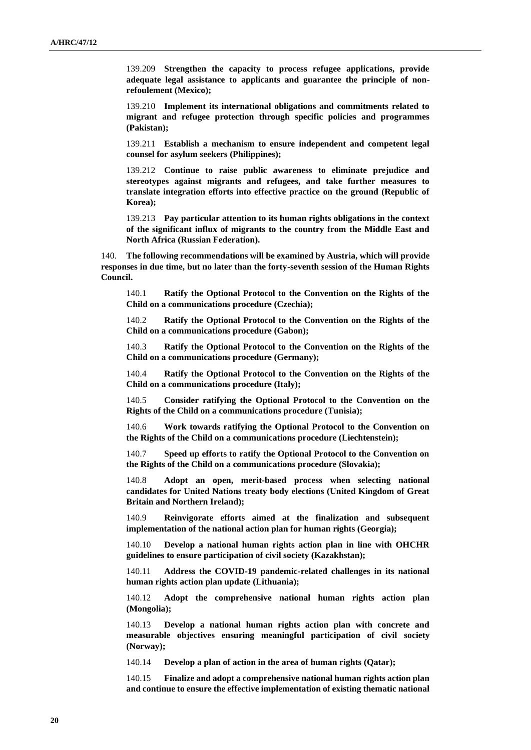139.209 **Strengthen the capacity to process refugee applications, provide adequate legal assistance to applicants and guarantee the principle of nonrefoulement (Mexico);**

139.210 **Implement its international obligations and commitments related to migrant and refugee protection through specific policies and programmes (Pakistan);**

139.211 **Establish a mechanism to ensure independent and competent legal counsel for asylum seekers (Philippines);**

139.212 **Continue to raise public awareness to eliminate prejudice and stereotypes against migrants and refugees, and take further measures to translate integration efforts into effective practice on the ground (Republic of Korea);**

139.213 **Pay particular attention to its human rights obligations in the context of the significant influx of migrants to the country from the Middle East and North Africa (Russian Federation).**

140. **The following recommendations will be examined by Austria, which will provide responses in due time, but no later than the forty-seventh session of the Human Rights Council.**

140.1 **Ratify the Optional Protocol to the Convention on the Rights of the Child on a communications procedure (Czechia);**

140.2 **Ratify the Optional Protocol to the Convention on the Rights of the Child on a communications procedure (Gabon);**

140.3 **Ratify the Optional Protocol to the Convention on the Rights of the Child on a communications procedure (Germany);**

140.4 **Ratify the Optional Protocol to the Convention on the Rights of the Child on a communications procedure (Italy);**

140.5 **Consider ratifying the Optional Protocol to the Convention on the Rights of the Child on a communications procedure (Tunisia);**

140.6 **Work towards ratifying the Optional Protocol to the Convention on the Rights of the Child on a communications procedure (Liechtenstein);**

140.7 **Speed up efforts to ratify the Optional Protocol to the Convention on the Rights of the Child on a communications procedure (Slovakia);**

140.8 **Adopt an open, merit-based process when selecting national candidates for United Nations treaty body elections (United Kingdom of Great Britain and Northern Ireland);**

140.9 **Reinvigorate efforts aimed at the finalization and subsequent implementation of the national action plan for human rights (Georgia);**

140.10 **Develop a national human rights action plan in line with OHCHR guidelines to ensure participation of civil society (Kazakhstan);**

140.11 **Address the COVID-19 pandemic-related challenges in its national human rights action plan update (Lithuania);**

140.12 **Adopt the comprehensive national human rights action plan (Mongolia);**

140.13 **Develop a national human rights action plan with concrete and measurable objectives ensuring meaningful participation of civil society (Norway);**

140.14 **Develop a plan of action in the area of human rights (Qatar);**

140.15 **Finalize and adopt a comprehensive national human rights action plan and continue to ensure the effective implementation of existing thematic national**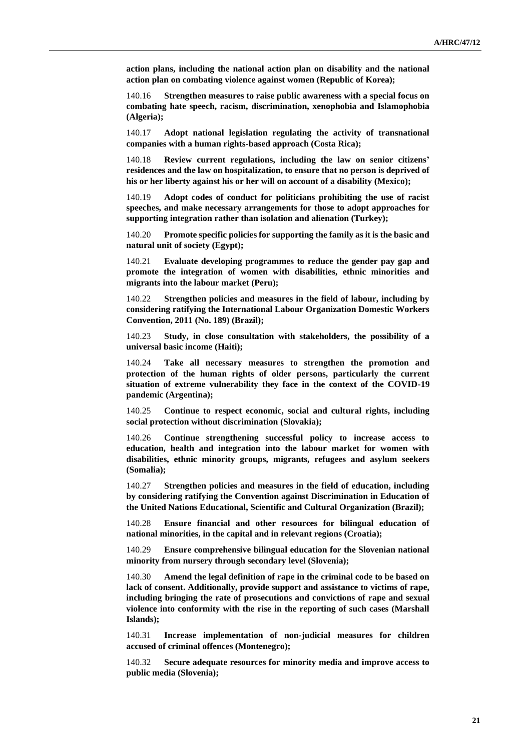**action plans, including the national action plan on disability and the national action plan on combating violence against women (Republic of Korea);**

140.16 **Strengthen measures to raise public awareness with a special focus on combating hate speech, racism, discrimination, xenophobia and Islamophobia (Algeria);**

140.17 **Adopt national legislation regulating the activity of transnational companies with a human rights-based approach (Costa Rica);**

140.18 **Review current regulations, including the law on senior citizens' residences and the law on hospitalization, to ensure that no person is deprived of his or her liberty against his or her will on account of a disability (Mexico);**

140.19 **Adopt codes of conduct for politicians prohibiting the use of racist speeches, and make necessary arrangements for those to adopt approaches for supporting integration rather than isolation and alienation (Turkey);**

140.20 **Promote specific policies for supporting the family as it is the basic and natural unit of society (Egypt);**

140.21 **Evaluate developing programmes to reduce the gender pay gap and promote the integration of women with disabilities, ethnic minorities and migrants into the labour market (Peru);**

140.22 **Strengthen policies and measures in the field of labour, including by considering ratifying the International Labour Organization Domestic Workers Convention, 2011 (No. 189) (Brazil);**

140.23 **Study, in close consultation with stakeholders, the possibility of a universal basic income (Haiti);**

140.24 **Take all necessary measures to strengthen the promotion and protection of the human rights of older persons, particularly the current situation of extreme vulnerability they face in the context of the COVID-19 pandemic (Argentina);**

140.25 **Continue to respect economic, social and cultural rights, including social protection without discrimination (Slovakia);**

140.26 **Continue strengthening successful policy to increase access to education, health and integration into the labour market for women with disabilities, ethnic minority groups, migrants, refugees and asylum seekers (Somalia);**

140.27 **Strengthen policies and measures in the field of education, including by considering ratifying the Convention against Discrimination in Education of the United Nations Educational, Scientific and Cultural Organization (Brazil);**

140.28 **Ensure financial and other resources for bilingual education of national minorities, in the capital and in relevant regions (Croatia);**

140.29 **Ensure comprehensive bilingual education for the Slovenian national minority from nursery through secondary level (Slovenia);**

140.30 **Amend the legal definition of rape in the criminal code to be based on lack of consent. Additionally, provide support and assistance to victims of rape, including bringing the rate of prosecutions and convictions of rape and sexual violence into conformity with the rise in the reporting of such cases (Marshall Islands);**

140.31 **Increase implementation of non-judicial measures for children accused of criminal offences (Montenegro);**

140.32 **Secure adequate resources for minority media and improve access to public media (Slovenia);**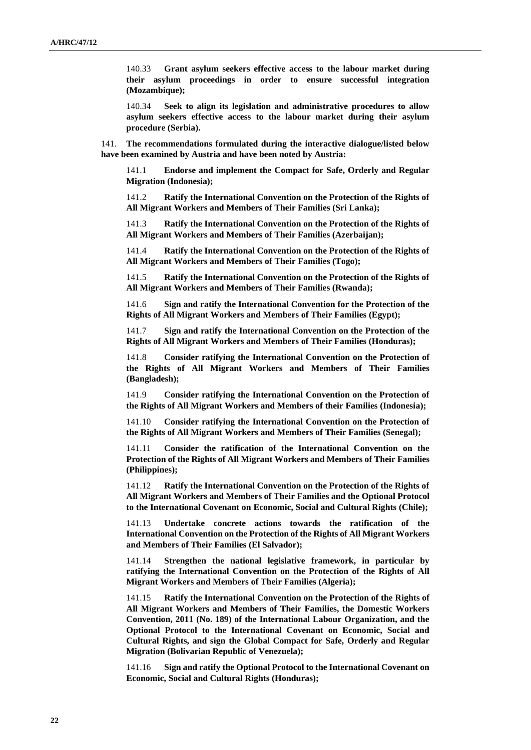140.33 **Grant asylum seekers effective access to the labour market during their asylum proceedings in order to ensure successful integration (Mozambique);**

140.34 **Seek to align its legislation and administrative procedures to allow asylum seekers effective access to the labour market during their asylum procedure (Serbia).**

141. **The recommendations formulated during the interactive dialogue/listed below have been examined by Austria and have been noted by Austria:**

141.1 **Endorse and implement the Compact for Safe, Orderly and Regular Migration (Indonesia);**

141.2 **Ratify the International Convention on the Protection of the Rights of All Migrant Workers and Members of Their Families (Sri Lanka);**

141.3 **Ratify the International Convention on the Protection of the Rights of All Migrant Workers and Members of Their Families (Azerbaijan);**

141.4 **Ratify the International Convention on the Protection of the Rights of All Migrant Workers and Members of Their Families (Togo);**

141.5 **Ratify the International Convention on the Protection of the Rights of All Migrant Workers and Members of Their Families (Rwanda);**

141.6 **Sign and ratify the International Convention for the Protection of the Rights of All Migrant Workers and Members of Their Families (Egypt);**

141.7 **Sign and ratify the International Convention on the Protection of the Rights of All Migrant Workers and Members of Their Families (Honduras);**

141.8 **Consider ratifying the International Convention on the Protection of the Rights of All Migrant Workers and Members of Their Families (Bangladesh);**

141.9 **Consider ratifying the International Convention on the Protection of the Rights of All Migrant Workers and Members of their Families (Indonesia);**

141.10 **Consider ratifying the International Convention on the Protection of the Rights of All Migrant Workers and Members of Their Families (Senegal);**

141.11 **Consider the ratification of the International Convention on the Protection of the Rights of All Migrant Workers and Members of Their Families (Philippines);**

141.12 **Ratify the International Convention on the Protection of the Rights of All Migrant Workers and Members of Their Families and the Optional Protocol to the International Covenant on Economic, Social and Cultural Rights (Chile);**

141.13 **Undertake concrete actions towards the ratification of the International Convention on the Protection of the Rights of All Migrant Workers and Members of Their Families (El Salvador);**

141.14 **Strengthen the national legislative framework, in particular by ratifying the International Convention on the Protection of the Rights of All Migrant Workers and Members of Their Families (Algeria);**

141.15 **Ratify the International Convention on the Protection of the Rights of All Migrant Workers and Members of Their Families, the Domestic Workers Convention, 2011 (No. 189) of the International Labour Organization, and the Optional Protocol to the International Covenant on Economic, Social and Cultural Rights, and sign the Global Compact for Safe, Orderly and Regular Migration (Bolivarian Republic of Venezuela);**

141.16 **Sign and ratify the Optional Protocol to the International Covenant on Economic, Social and Cultural Rights (Honduras);**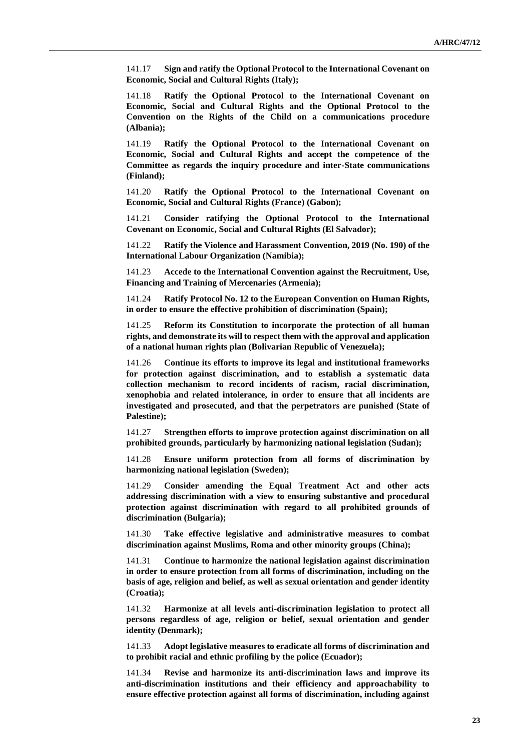141.17 **Sign and ratify the Optional Protocol to the International Covenant on Economic, Social and Cultural Rights (Italy);**

141.18 **Ratify the Optional Protocol to the International Covenant on Economic, Social and Cultural Rights and the Optional Protocol to the Convention on the Rights of the Child on a communications procedure (Albania);**

141.19 **Ratify the Optional Protocol to the International Covenant on Economic, Social and Cultural Rights and accept the competence of the Committee as regards the inquiry procedure and inter-State communications (Finland);**

141.20 **Ratify the Optional Protocol to the International Covenant on Economic, Social and Cultural Rights (France) (Gabon);**

141.21 **Consider ratifying the Optional Protocol to the International Covenant on Economic, Social and Cultural Rights (El Salvador);**

141.22 **Ratify the Violence and Harassment Convention, 2019 (No. 190) of the International Labour Organization (Namibia);**

141.23 **Accede to the International Convention against the Recruitment, Use, Financing and Training of Mercenaries (Armenia);**

141.24 **Ratify Protocol No. 12 to the European Convention on Human Rights, in order to ensure the effective prohibition of discrimination (Spain);**

141.25 **Reform its Constitution to incorporate the protection of all human rights, and demonstrate its will to respect them with the approval and application of a national human rights plan (Bolivarian Republic of Venezuela);**

141.26 **Continue its efforts to improve its legal and institutional frameworks for protection against discrimination, and to establish a systematic data collection mechanism to record incidents of racism, racial discrimination, xenophobia and related intolerance, in order to ensure that all incidents are investigated and prosecuted, and that the perpetrators are punished (State of Palestine);**

141.27 **Strengthen efforts to improve protection against discrimination on all prohibited grounds, particularly by harmonizing national legislation (Sudan);**

141.28 **Ensure uniform protection from all forms of discrimination by harmonizing national legislation (Sweden);**

141.29 **Consider amending the Equal Treatment Act and other acts addressing discrimination with a view to ensuring substantive and procedural protection against discrimination with regard to all prohibited grounds of discrimination (Bulgaria);**

141.30 **Take effective legislative and administrative measures to combat discrimination against Muslims, Roma and other minority groups (China);**

141.31 **Continue to harmonize the national legislation against discrimination in order to ensure protection from all forms of discrimination, including on the basis of age, religion and belief, as well as sexual orientation and gender identity (Croatia);**

141.32 **Harmonize at all levels anti-discrimination legislation to protect all persons regardless of age, religion or belief, sexual orientation and gender identity (Denmark);**

141.33 **Adopt legislative measures to eradicate all forms of discrimination and to prohibit racial and ethnic profiling by the police (Ecuador);**

141.34 **Revise and harmonize its anti-discrimination laws and improve its anti-discrimination institutions and their efficiency and approachability to ensure effective protection against all forms of discrimination, including against**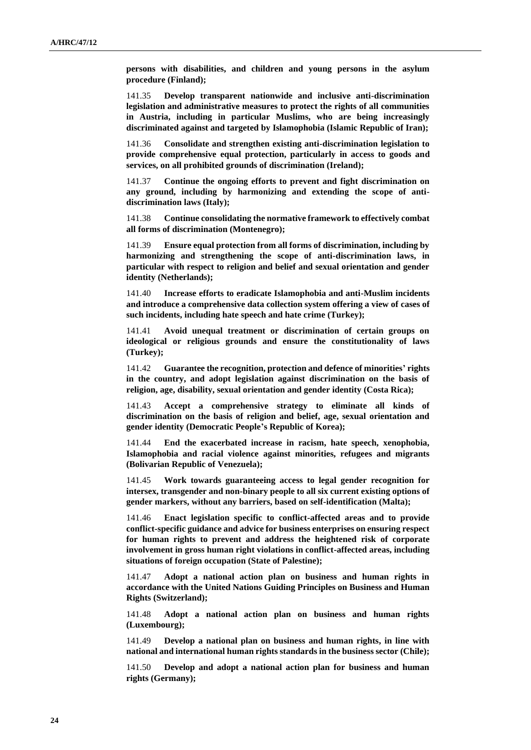**persons with disabilities, and children and young persons in the asylum procedure (Finland);**

141.35 **Develop transparent nationwide and inclusive anti-discrimination legislation and administrative measures to protect the rights of all communities in Austria, including in particular Muslims, who are being increasingly discriminated against and targeted by Islamophobia (Islamic Republic of Iran);**

141.36 **Consolidate and strengthen existing anti-discrimination legislation to provide comprehensive equal protection, particularly in access to goods and services, on all prohibited grounds of discrimination (Ireland);**

141.37 **Continue the ongoing efforts to prevent and fight discrimination on any ground, including by harmonizing and extending the scope of antidiscrimination laws (Italy);**

141.38 **Continue consolidating the normative framework to effectively combat all forms of discrimination (Montenegro);**

141.39 **Ensure equal protection from all forms of discrimination, including by harmonizing and strengthening the scope of anti-discrimination laws, in particular with respect to religion and belief and sexual orientation and gender identity (Netherlands);**

141.40 **Increase efforts to eradicate Islamophobia and anti-Muslim incidents and introduce a comprehensive data collection system offering a view of cases of such incidents, including hate speech and hate crime (Turkey);**

141.41 **Avoid unequal treatment or discrimination of certain groups on ideological or religious grounds and ensure the constitutionality of laws (Turkey);**

141.42 **Guarantee the recognition, protection and defence of minorities' rights in the country, and adopt legislation against discrimination on the basis of religion, age, disability, sexual orientation and gender identity (Costa Rica);**

141.43 **Accept a comprehensive strategy to eliminate all kinds of discrimination on the basis of religion and belief, age, sexual orientation and gender identity (Democratic People's Republic of Korea);**

141.44 **End the exacerbated increase in racism, hate speech, xenophobia, Islamophobia and racial violence against minorities, refugees and migrants (Bolivarian Republic of Venezuela);**

141.45 **Work towards guaranteeing access to legal gender recognition for intersex, transgender and non-binary people to all six current existing options of gender markers, without any barriers, based on self-identification (Malta);**

141.46 **Enact legislation specific to conflict-affected areas and to provide conflict-specific guidance and advice for business enterprises on ensuring respect for human rights to prevent and address the heightened risk of corporate involvement in gross human right violations in conflict-affected areas, including situations of foreign occupation (State of Palestine);**

141.47 **Adopt a national action plan on business and human rights in accordance with the United Nations Guiding Principles on Business and Human Rights (Switzerland);**

141.48 **Adopt a national action plan on business and human rights (Luxembourg);**

141.49 **Develop a national plan on business and human rights, in line with national and international human rights standards in the business sector (Chile);**

141.50 **Develop and adopt a national action plan for business and human rights (Germany);**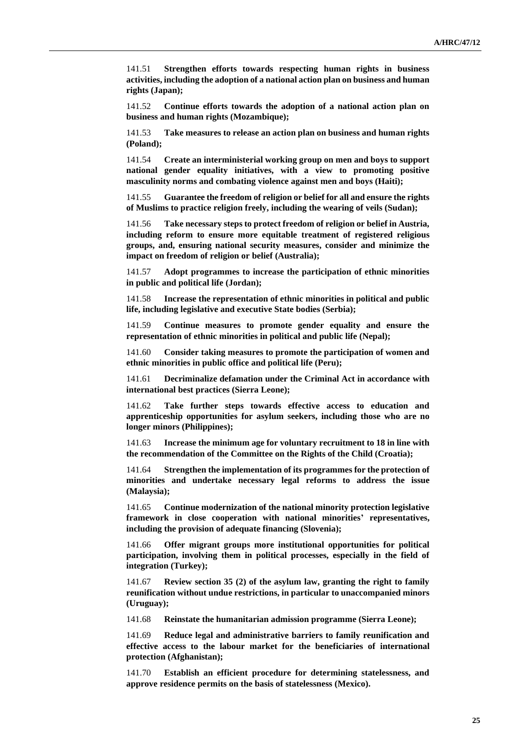141.51 **Strengthen efforts towards respecting human rights in business activities, including the adoption of a national action plan on business and human rights (Japan);**

141.52 **Continue efforts towards the adoption of a national action plan on business and human rights (Mozambique);**

141.53 **Take measures to release an action plan on business and human rights (Poland);**

141.54 **Create an interministerial working group on men and boys to support national gender equality initiatives, with a view to promoting positive masculinity norms and combating violence against men and boys (Haiti);**

141.55 **Guarantee the freedom of religion or belief for all and ensure the rights of Muslims to practice religion freely, including the wearing of veils (Sudan);**

141.56 **Take necessary steps to protect freedom of religion or belief in Austria, including reform to ensure more equitable treatment of registered religious groups, and, ensuring national security measures, consider and minimize the impact on freedom of religion or belief (Australia);**

141.57 **Adopt programmes to increase the participation of ethnic minorities in public and political life (Jordan);**

141.58 **Increase the representation of ethnic minorities in political and public life, including legislative and executive State bodies (Serbia);**

141.59 **Continue measures to promote gender equality and ensure the representation of ethnic minorities in political and public life (Nepal);**

141.60 **Consider taking measures to promote the participation of women and ethnic minorities in public office and political life (Peru);**

141.61 **Decriminalize defamation under the Criminal Act in accordance with international best practices (Sierra Leone);**

141.62 **Take further steps towards effective access to education and apprenticeship opportunities for asylum seekers, including those who are no longer minors (Philippines);**

141.63 **Increase the minimum age for voluntary recruitment to 18 in line with the recommendation of the Committee on the Rights of the Child (Croatia);**

141.64 **Strengthen the implementation of its programmes for the protection of minorities and undertake necessary legal reforms to address the issue (Malaysia);**

141.65 **Continue modernization of the national minority protection legislative framework in close cooperation with national minorities' representatives, including the provision of adequate financing (Slovenia);**

141.66 **Offer migrant groups more institutional opportunities for political participation, involving them in political processes, especially in the field of integration (Turkey);**

141.67 **Review section 35 (2) of the asylum law, granting the right to family reunification without undue restrictions, in particular to unaccompanied minors (Uruguay);**

141.68 **Reinstate the humanitarian admission programme (Sierra Leone);**

141.69 **Reduce legal and administrative barriers to family reunification and effective access to the labour market for the beneficiaries of international protection (Afghanistan);**

141.70 **Establish an efficient procedure for determining statelessness, and approve residence permits on the basis of statelessness (Mexico).**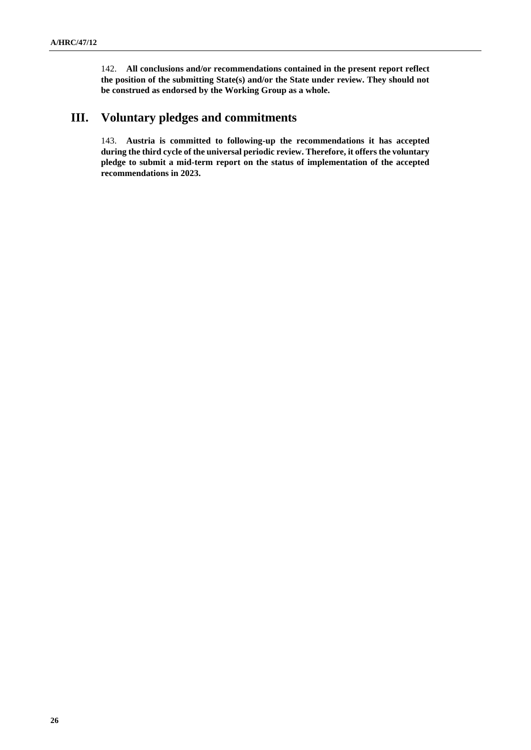142. **All conclusions and/or recommendations contained in the present report reflect the position of the submitting State(s) and/or the State under review. They should not be construed as endorsed by the Working Group as a whole.**

# **III. Voluntary pledges and commitments**

143. **Austria is committed to following-up the recommendations it has accepted during the third cycle of the universal periodic review. Therefore, it offers the voluntary pledge to submit a mid-term report on the status of implementation of the accepted recommendations in 2023.**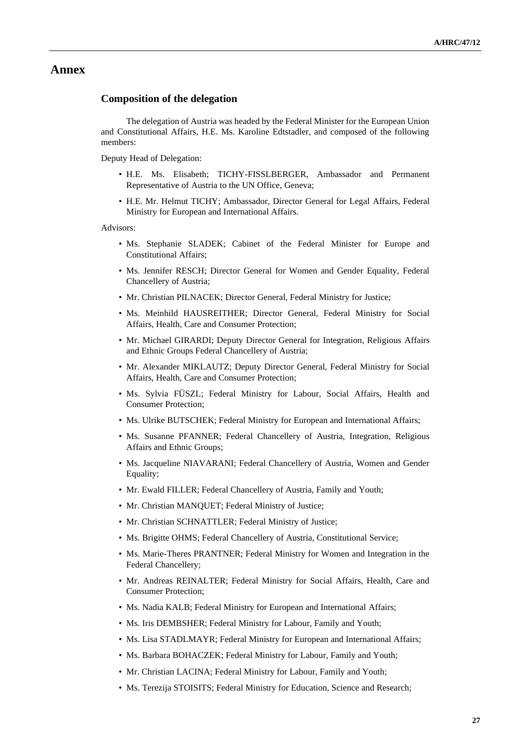#### **Annex**

#### **Composition of the delegation**

The delegation of Austria was headed by the Federal Minister for the European Union and Constitutional Affairs, H.E. Ms. Karoline Edtstadler, and composed of the following members:

Deputy Head of Delegation:

- H.E. Ms. Elisabeth; TICHY-FISSLBERGER, Ambassador and Permanent Representative of Austria to the UN Office, Geneva;
- H.E. Mr. Helmut TICHY; Ambassador, Director General for Legal Affairs, Federal Ministry for European and International Affairs.

Advisors:

- Ms. Stephanie SLADEK; Cabinet of the Federal Minister for Europe and Constitutional Affairs;
- Ms. Jennifer RESCH; Director General for Women and Gender Equality, Federal Chancellery of Austria;
- Mr. Christian PILNACEK; Director General, Federal Ministry for Justice;
- Ms. Meinhild HAUSREITHER; Director General, Federal Ministry for Social Affairs, Health, Care and Consumer Protection;
- Mr. Michael GIRARDI; Deputy Director General for Integration, Religious Affairs and Ethnic Groups Federal Chancellery of Austria;
- Mr. Alexander MIKLAUTZ; Deputy Director General, Federal Ministry for Social Affairs, Health, Care and Consumer Protection;
- Ms. Sylvia FÜSZL; Federal Ministry for Labour, Social Affairs, Health and Consumer Protection;
- Ms. Ulrike BUTSCHEK; Federal Ministry for European and International Affairs;
- Ms. Susanne PFANNER; Federal Chancellery of Austria, Integration, Religious Affairs and Ethnic Groups;
- Ms. Jacqueline NIAVARANI; Federal Chancellery of Austria, Women and Gender Equality;
- Mr. Ewald FILLER; Federal Chancellery of Austria, Family and Youth;
- Mr. Christian MANQUET; Federal Ministry of Justice;
- Mr. Christian SCHNATTLER; Federal Ministry of Justice;
- Ms. Brigitte OHMS; Federal Chancellery of Austria, Constitutional Service;
- Ms. Marie-Theres PRANTNER; Federal Ministry for Women and Integration in the Federal Chancellery;
- Mr. Andreas REINALTER; Federal Ministry for Social Affairs, Health, Care and Consumer Protection;
- Ms. Nadia KALB; Federal Ministry for European and International Affairs;
- Ms. Iris DEMBSHER; Federal Ministry for Labour, Family and Youth;
- Ms. Lisa STADLMAYR; Federal Ministry for European and International Affairs;
- Ms. Barbara BOHACZEK; Federal Ministry for Labour, Family and Youth;
- Mr. Christian LACINA; Federal Ministry for Labour, Family and Youth;
- Ms. Terezija STOISITS; Federal Ministry for Education, Science and Research;